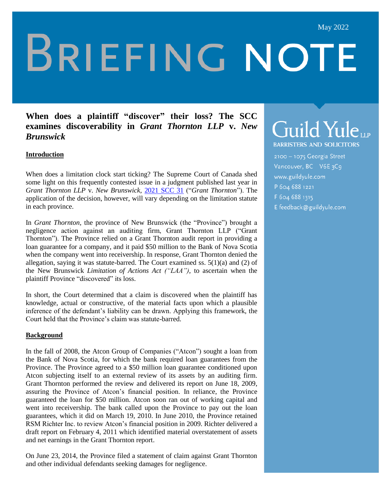# **BRIEFING NOTE**

## **When does a plaintiff "discover" their loss? The SCC examines discoverability in** *Grant Thornton LLP* **v.** *New Brunswick*

### **Introduction**

When does a limitation clock start ticking? The Supreme Court of Canada shed some light on this frequently contested issue in a judgment published last year in *Grant Thornton LLP* v. *New Brunswick,* [2021 SCC 31](https://www.canlii.org/en/ca/scc/doc/2021/2021scc31/2021scc31.html) ("*Grant Thornton*"). The application of the decision, however, will vary depending on the limitation statute in each province.

In *Grant Thornton,* the province of New Brunswick (the "Province") brought a negligence action against an auditing firm, Grant Thornton LLP ("Grant Thornton"). The Province relied on a Grant Thornton audit report in providing a loan guarantee for a company, and it paid \$50 million to the Bank of Nova Scotia when the company went into receivership. In response, Grant Thornton denied the allegation, saying it was statute-barred. The Court examined ss.  $5(1)(a)$  and (2) of the New Brunswick *Limitation of Actions Act ("LAA"),* to ascertain when the plaintiff Province "discovered" its loss.

In short, the Court determined that a claim is discovered when the plaintiff has knowledge, actual or constructive, of the material facts upon which a plausible inference of the defendant's liability can be drawn. Applying this framework, the Court held that the Province's claim was statute-barred.

#### **Background**

In the fall of 2008, the Atcon Group of Companies ("Atcon") sought a loan from the Bank of Nova Scotia, for which the bank required loan guarantees from the Province. The Province agreed to a \$50 million loan guarantee conditioned upon Atcon subjecting itself to an external review of its assets by an auditing firm. Grant Thornton performed the review and delivered its report on June 18, 2009, assuring the Province of Atcon's financial position. In reliance, the Province guaranteed the loan for \$50 million. Atcon soon ran out of working capital and went into receivership. The bank called upon the Province to pay out the loan guarantees, which it did on March 19, 2010. In June 2010, the Province retained RSM Richter Inc. to review Atcon's financial position in 2009. Richter delivered a draft report on February 4, 2011 which identified material overstatement of assets and net earnings in the Grant Thornton report.

On June 23, 2014, the Province filed a statement of claim against Grant Thornton and other individual defendants seeking damages for negligence.

# Guild Yuleur

**BARRISTERS AND SOLICITORS** 

2100 - 1075 Georgia Street Vancouver, BC V6E3C9 www.guildyule.com P 604 688 1221 F 604 688 1315 E feedback@guildyule.com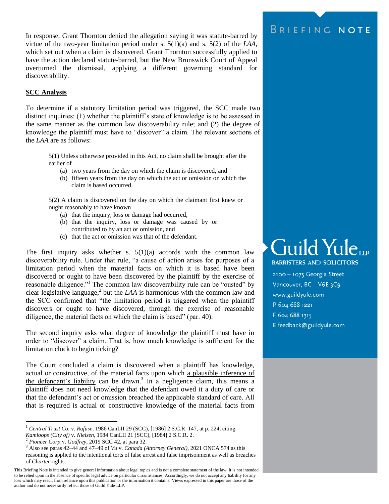In response, Grant Thornton denied the allegation saying it was statute-barred by virtue of the two-year limitation period under s. 5(1)(a) and s. 5(2) of the *LAA*, which set out when a claim is discovered. Grant Thornton successfully applied to have the action declared statute-barred, but the New Brunswick Court of Appeal overturned the dismissal, applying a different governing standard for discoverability.

#### **SCC Analysis**

To determine if a statutory limitation period was triggered, the SCC made two distinct inquiries: (1) whether the plaintiff's state of knowledge is to be assessed in the same manner as the common law discoverability rule; and (2) the degree of knowledge the plaintiff must have to "discover" a claim. The relevant sections of the *LAA* are as follows:

5(1) Unless otherwise provided in this Act, no claim shall be brought after the earlier of

- (a) two years from the day on which the claim is discovered, and
- (b) fifteen years from the day on which the act or omission on which the claim is based occurred.

5(2) A claim is discovered on the day on which the claimant first knew or ought reasonably to have known

- (a) that the inquiry, loss or damage had occurred,
- (b) that the inquiry, loss or damage was caused by or contributed to by an act or omission, and
- (c) that the act or omission was that of the defendant.

The first inquiry asks whether s.  $5(1)(a)$  accords with the common law discoverability rule. Under that rule, "a cause of action arises for purposes of a limitation period when the material facts on which it is based have been discovered or ought to have been discovered by the plaintiff by the exercise of reasonable diligence."<sup>1</sup> The common law discoverability rule can be "ousted" by clear legislative language, 2 but the *LAA* is harmonious with the common law and the SCC confirmed that "the limitation period is triggered when the plaintiff discovers or ought to have discovered, through the exercise of reasonable diligence, the material facts on which the claim is based" (par. 40).

The second inquiry asks what degree of knowledge the plaintiff must have in order to "discover" a claim. That is, how much knowledge is sufficient for the limitation clock to begin ticking?

The Court concluded a claim is discovered when a plaintiff has knowledge, actual or constructive, of the material facts upon which a plausible inference of the defendant's liability can be drawn.<sup>3</sup> In a negligence claim, this means a plaintiff does not need knowledge that the defendant owed it a duty of care or that the defendant's act or omission breached the applicable standard of care. All that is required is actual or constructive knowledge of the material facts from

 $\overline{a}$ 

# BRIEFING NOTE

# Guild Yule **BARRISTERS AND SOLICITORS**

2100 - 1075 Georgia Street Vancouver, BC V6E 3C9 www.guildyule.com P 604 688 1221 F 604 688 1315 E feedback@guildyule.com

<sup>1</sup> *Central Trust Co.* v. *Rafuse*, [1986 CanLII 29 \(SCC\),](https://www.canlii.org/en/ca/scc/doc/1986/1986canlii29/1986canlii29.html) [1986] 2 S.C.R. 147, at p. 224, citing *Kamloops (City of)* v. *Nielsen*, 1984 CanLII 21 (SCC), [1984] 2 S.C.R. 2.

<sup>2</sup> *Pioneer Corp* v. *Godfrey,* 2019 SCC 42, at para 32.

<sup>3</sup> Also see paras 42–44 and 47–49 of *Vu* v. *Canada (Attorney General),* 2021 ONCA 574 as this reasoning is applied to the intentional torts of false arrest and false imprisonment as well as breaches of *Charter* rights.

This Briefing Note is intended to give general information about legal topics and is not a complete statement of the law. It is not intended to be relied upon in the absence of specific legal advice on particular circumstances. Accordingly, we do not accept any liability for any loss which may result from reliance upon this publication or the information it contains. Views expressed in this paper are those of the author and do not necessarily reflect those of Guild Yule LLP.